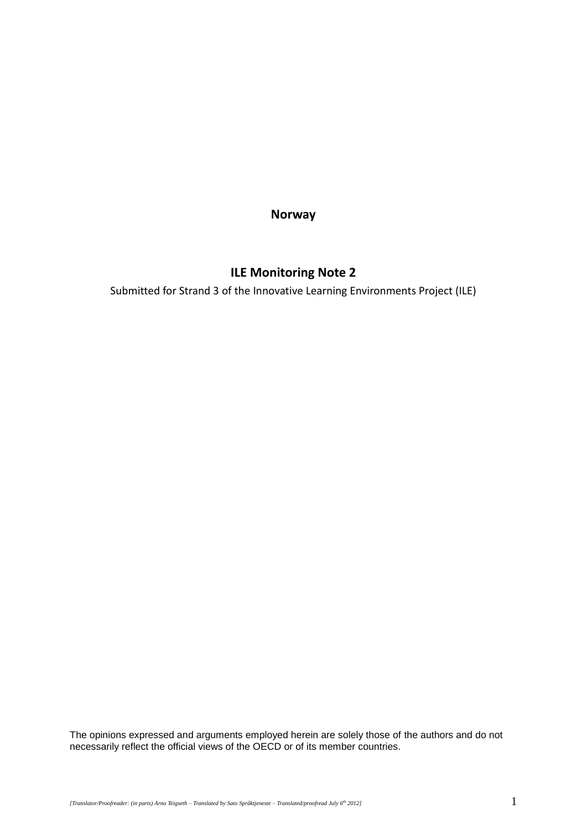**Norway**

# **ILE Monitoring Note 2**

Submitted for Strand 3 of the Innovative Learning Environments Project (ILE)

The opinions expressed and arguments employed herein are solely those of the authors and do not necessarily reflect the official views of the OECD or of its member countries.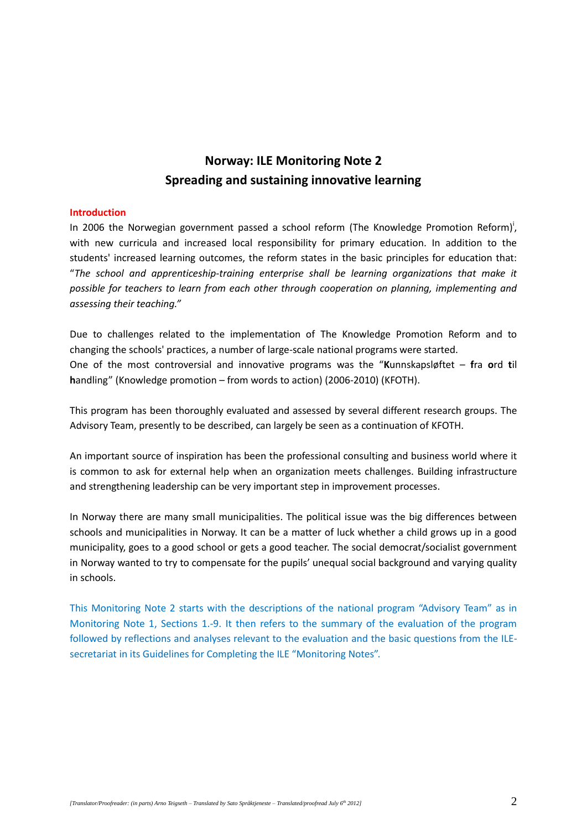# **Norway: ILE Monitoring Note 2 Spreading and sustaining innovative learning**

#### **Introduction**

In 2006 the Norwegian government passed a school reform (The Knowledge Promotion Reform)<sup>i</sup>, with new curricula and increased local responsibility for primary education. In addition to the students' increased learning outcomes, the reform states in the basic principles for education that: "*The school and apprenticeship-training enterprise shall be learning organizations that make it possible for teachers to learn from each other through cooperation on planning, implementing and assessing their teaching."*

Due to challenges related to the implementation of The Knowledge Promotion Reform and to changing the schools' practices, a number of large-scale national programs were started. One of the most controversial and innovative programs was the "**K**unnskapsløftet – **f**ra **o**rd **t**il **h**andling" (Knowledge promotion – from words to action) (2006-2010) (KFOTH).

This program has been thoroughly evaluated and assessed by several different research groups. The Advisory Team, presently to be described, can largely be seen as a continuation of KFOTH.

An important source of inspiration has been the professional consulting and business world where it is common to ask for external help when an organization meets challenges. Building infrastructure and strengthening leadership can be very important step in improvement processes.

In Norway there are many small municipalities. The political issue was the big differences between schools and municipalities in Norway. It can be a matter of luck whether a child grows up in a good municipality, goes to a good school or gets a good teacher. The social democrat/socialist government in Norway wanted to try to compensate for the pupils' unequal social background and varying quality in schools.

This Monitoring Note 2 starts with the descriptions of the national program "Advisory Team" as in Monitoring Note 1, Sections 1.-9. It then refers to the summary of the evaluation of the program followed by reflections and analyses relevant to the evaluation and the basic questions from the ILEsecretariat in its Guidelines for Completing the ILE "Monitoring Notes".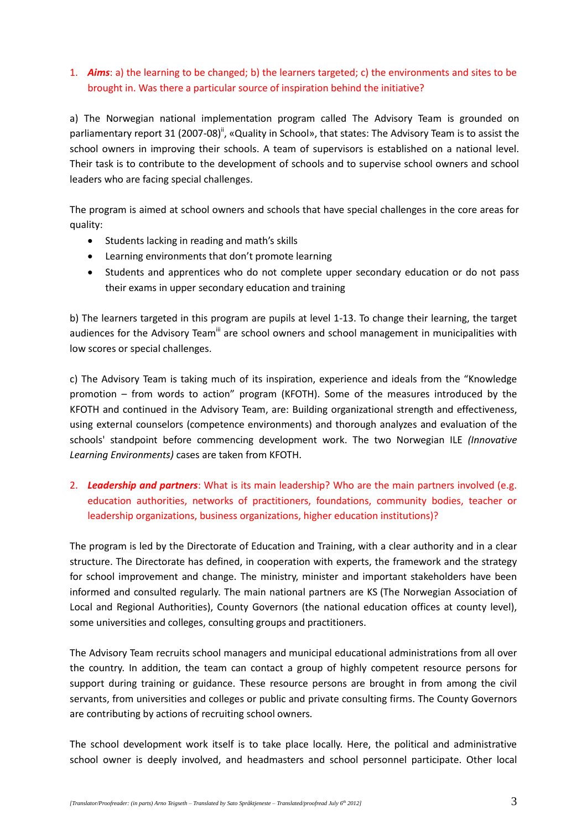### 1. *Aims*: a) the learning to be changed; b) the learners targeted; c) the environments and sites to be brought in. Was there a particular source of inspiration behind the initiative?

a) The Norwegian national implementation program called The Advisory Team is grounded on parliamentary report 31 (2007-08)", «Quality in School», that states: The Advisory Team is to assist the school owners in improving their schools. A team of supervisors is established on a national level. Their task is to contribute to the development of schools and to supervise school owners and school leaders who are facing special challenges.

The program is aimed at school owners and schools that have special challenges in the core areas for quality:

- Students lacking in reading and math's skills
- Learning environments that don't promote learning
- Students and apprentices who do not complete upper secondary education or do not pass their exams in upper secondary education and training

b) The learners targeted in this program are pupils at level 1-13. To change their learning, the target audiences for the Advisory Team<sup>iii</sup> are school owners and school management in municipalities with low scores or special challenges.

c) The Advisory Team is taking much of its inspiration, experience and ideals from the "Knowledge promotion – from words to action" program (KFOTH). Some of the measures introduced by the KFOTH and continued in the Advisory Team, are: Building organizational strength and effectiveness, using external counselors (competence environments) and thorough analyzes and evaluation of the schools' standpoint before commencing development work. The two Norwegian ILE *(Innovative Learning Environments)* cases are taken from KFOTH.

# 2. *Leadership and partners*: What is its main leadership? Who are the main partners involved (e.g. education authorities, networks of practitioners, foundations, community bodies, teacher or leadership organizations, business organizations, higher education institutions)?

The program is led by the Directorate of Education and Training, with a clear authority and in a clear structure. The Directorate has defined, in cooperation with experts, the framework and the strategy for school improvement and change. The ministry, minister and important stakeholders have been informed and consulted regularly. The main national partners are KS (The Norwegian Association of Local and Regional Authorities), County Governors (the national education offices at county level), some universities and colleges, consulting groups and practitioners.

The Advisory Team recruits school managers and municipal educational administrations from all over the country. In addition, the team can contact a group of highly competent resource persons for support during training or guidance. These resource persons are brought in from among the civil servants, from universities and colleges or public and private consulting firms. The County Governors are contributing by actions of recruiting school owners.

The school development work itself is to take place locally. Here, the political and administrative school owner is deeply involved, and headmasters and school personnel participate. Other local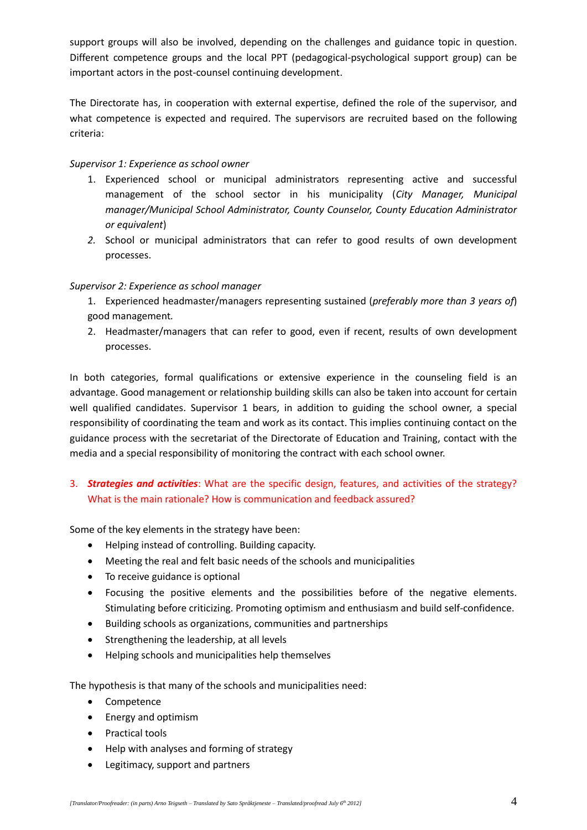support groups will also be involved, depending on the challenges and guidance topic in question. Different competence groups and the local PPT (pedagogical-psychological support group) can be important actors in the post-counsel continuing development.

The Directorate has, in cooperation with external expertise, defined the role of the supervisor, and what competence is expected and required. The supervisors are recruited based on the following criteria:

#### *Supervisor 1: Experience as school owner*

- 1. Experienced school or municipal administrators representing active and successful management of the school sector in his municipality (*City Manager, Municipal manager/Municipal School Administrator, County Counselor, County Education Administrator or equivalent*)
- *2.* School or municipal administrators that can refer to good results of own development processes.

#### *Supervisor 2: Experience as school manager*

- 1. Experienced headmaster/managers representing sustained (*preferably more than 3 years of*) good management*.*
- 2. Headmaster/managers that can refer to good, even if recent, results of own development processes.

In both categories, formal qualifications or extensive experience in the counseling field is an advantage. Good management or relationship building skills can also be taken into account for certain well qualified candidates. Supervisor 1 bears, in addition to guiding the school owner, a special responsibility of coordinating the team and work as its contact. This implies continuing contact on the guidance process with the secretariat of the Directorate of Education and Training, contact with the media and a special responsibility of monitoring the contract with each school owner.

# 3. *Strategies and activities*: What are the specific design, features, and activities of the strategy? What is the main rationale? How is communication and feedback assured?

Some of the key elements in the strategy have been:

- Helping instead of controlling. Building capacity.
- Meeting the real and felt basic needs of the schools and municipalities
- To receive guidance is optional
- Focusing the positive elements and the possibilities before of the negative elements. Stimulating before criticizing. Promoting optimism and enthusiasm and build self-confidence.
- Building schools as organizations, communities and partnerships
- Strengthening the leadership, at all levels
- Helping schools and municipalities help themselves

The hypothesis is that many of the schools and municipalities need:

- Competence
- Energy and optimism
- Practical tools
- Help with analyses and forming of strategy
- Legitimacy, support and partners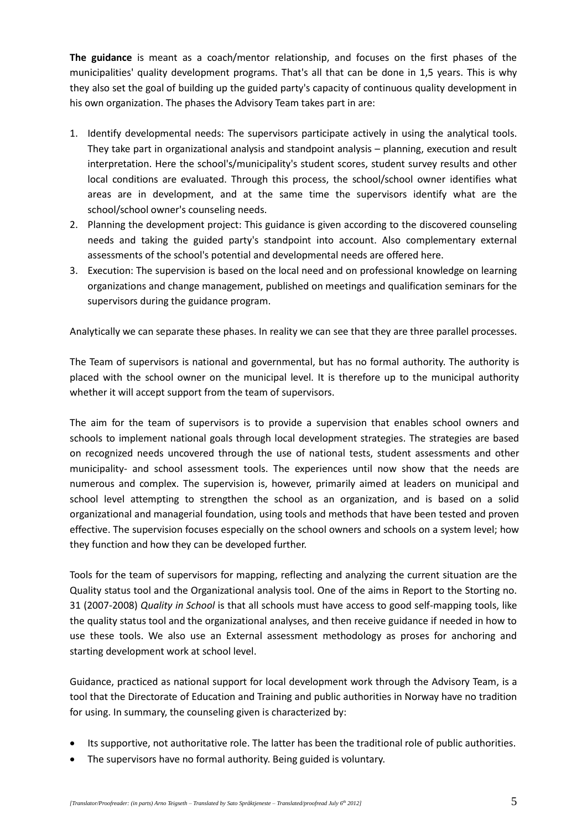**The guidance** is meant as a coach/mentor relationship, and focuses on the first phases of the municipalities' quality development programs. That's all that can be done in 1,5 years. This is why they also set the goal of building up the guided party's capacity of continuous quality development in his own organization. The phases the Advisory Team takes part in are:

- 1. Identify developmental needs: The supervisors participate actively in using the analytical tools. They take part in organizational analysis and standpoint analysis – planning, execution and result interpretation. Here the school's/municipality's student scores, student survey results and other local conditions are evaluated. Through this process, the school/school owner identifies what areas are in development, and at the same time the supervisors identify what are the school/school owner's counseling needs.
- 2. Planning the development project: This guidance is given according to the discovered counseling needs and taking the guided party's standpoint into account. Also complementary external assessments of the school's potential and developmental needs are offered here.
- 3. Execution: The supervision is based on the local need and on professional knowledge on learning organizations and change management, published on meetings and qualification seminars for the supervisors during the guidance program.

Analytically we can separate these phases. In reality we can see that they are three parallel processes.

The Team of supervisors is national and governmental, but has no formal authority. The authority is placed with the school owner on the municipal level. It is therefore up to the municipal authority whether it will accept support from the team of supervisors.

The aim for the team of supervisors is to provide a supervision that enables school owners and schools to implement national goals through local development strategies. The strategies are based on recognized needs uncovered through the use of national tests, student assessments and other municipality- and school assessment tools. The experiences until now show that the needs are numerous and complex. The supervision is, however, primarily aimed at leaders on municipal and school level attempting to strengthen the school as an organization, and is based on a solid organizational and managerial foundation, using tools and methods that have been tested and proven effective. The supervision focuses especially on the school owners and schools on a system level; how they function and how they can be developed further.

Tools for the team of supervisors for mapping, reflecting and analyzing the current situation are the Quality status tool and the Organizational analysis tool. One of the aims in Report to the Storting no. 31 (2007-2008) *Quality in School* is that all schools must have access to good self-mapping tools, like the quality status tool and the organizational analyses, and then receive guidance if needed in how to use these tools. We also use an External assessment methodology as proses for anchoring and starting development work at school level.

Guidance, practiced as national support for local development work through the Advisory Team, is a tool that the Directorate of Education and Training and public authorities in Norway have no tradition for using. In summary, the counseling given is characterized by:

- Its supportive, not authoritative role. The latter has been the traditional role of public authorities.
- The supervisors have no formal authority. Being guided is voluntary.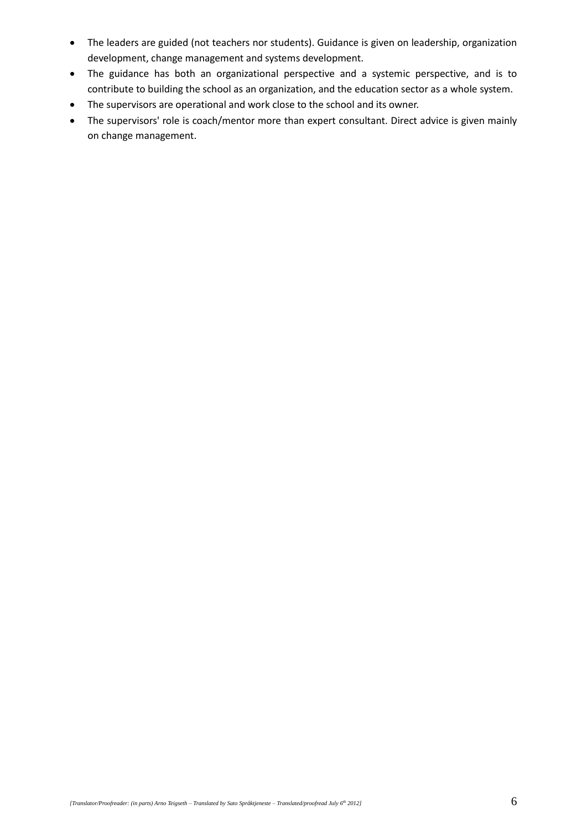- The leaders are guided (not teachers nor students). Guidance is given on leadership, organization development, change management and systems development.
- The guidance has both an organizational perspective and a systemic perspective, and is to contribute to building the school as an organization, and the education sector as a whole system.
- The supervisors are operational and work close to the school and its owner.
- The supervisors' role is coach/mentor more than expert consultant. Direct advice is given mainly on change management.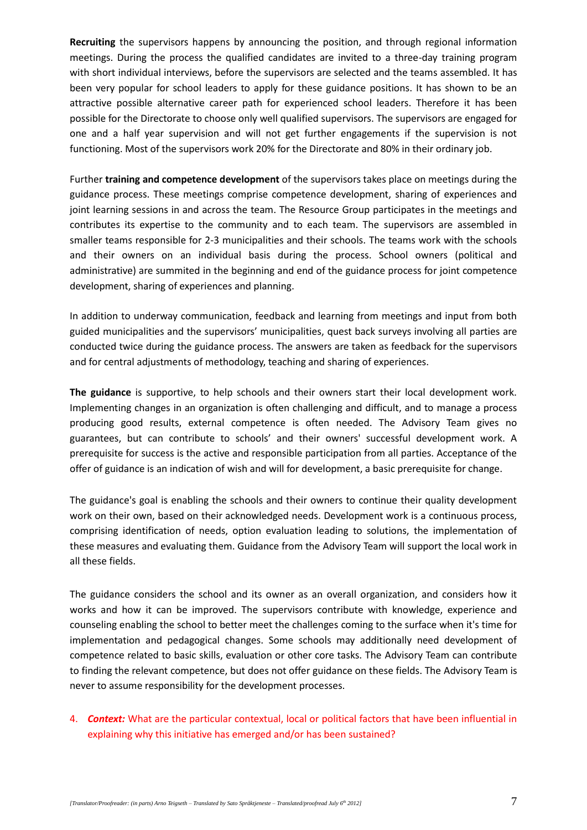**Recruiting** the supervisors happens by announcing the position, and through regional information meetings. During the process the qualified candidates are invited to a three-day training program with short individual interviews, before the supervisors are selected and the teams assembled. It has been very popular for school leaders to apply for these guidance positions. It has shown to be an attractive possible alternative career path for experienced school leaders. Therefore it has been possible for the Directorate to choose only well qualified supervisors. The supervisors are engaged for one and a half year supervision and will not get further engagements if the supervision is not functioning. Most of the supervisors work 20% for the Directorate and 80% in their ordinary job.

Further **training and competence development** of the supervisors takes place on meetings during the guidance process. These meetings comprise competence development, sharing of experiences and joint learning sessions in and across the team. The Resource Group participates in the meetings and contributes its expertise to the community and to each team. The supervisors are assembled in smaller teams responsible for 2-3 municipalities and their schools. The teams work with the schools and their owners on an individual basis during the process. School owners (political and administrative) are summited in the beginning and end of the guidance process for joint competence development, sharing of experiences and planning.

In addition to underway communication, feedback and learning from meetings and input from both guided municipalities and the supervisors' municipalities, quest back surveys involving all parties are conducted twice during the guidance process. The answers are taken as feedback for the supervisors and for central adjustments of methodology, teaching and sharing of experiences.

**The guidance** is supportive, to help schools and their owners start their local development work. Implementing changes in an organization is often challenging and difficult, and to manage a process producing good results, external competence is often needed. The Advisory Team gives no guarantees, but can contribute to schools' and their owners' successful development work. A prerequisite for success is the active and responsible participation from all parties. Acceptance of the offer of guidance is an indication of wish and will for development, a basic prerequisite for change.

The guidance's goal is enabling the schools and their owners to continue their quality development work on their own, based on their acknowledged needs. Development work is a continuous process, comprising identification of needs, option evaluation leading to solutions, the implementation of these measures and evaluating them. Guidance from the Advisory Team will support the local work in all these fields.

The guidance considers the school and its owner as an overall organization, and considers how it works and how it can be improved. The supervisors contribute with knowledge, experience and counseling enabling the school to better meet the challenges coming to the surface when it's time for implementation and pedagogical changes. Some schools may additionally need development of competence related to basic skills, evaluation or other core tasks. The Advisory Team can contribute to finding the relevant competence, but does not offer guidance on these fields. The Advisory Team is never to assume responsibility for the development processes.

### 4. *Context:* What are the particular contextual, local or political factors that have been influential in explaining why this initiative has emerged and/or has been sustained?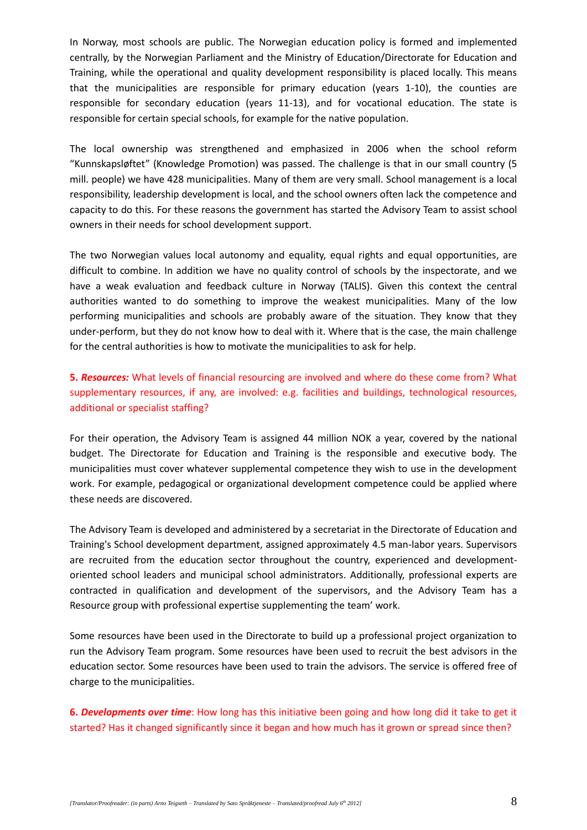In Norway, most schools are public. The Norwegian education policy is formed and implemented centrally, by the Norwegian Parliament and the Ministry of Education/Directorate for Education and Training, while the operational and quality development responsibility is placed locally. This means that the municipalities are responsible for primary education (years 1-10), the counties are responsible for secondary education (years 11-13), and for vocational education. The state is responsible for certain special schools, for example for the native population.

The local ownership was strengthened and emphasized in 2006 when the school reform "Kunnskapsløftet" (Knowledge Promotion) was passed. The challenge is that in our small country (5 mill. people) we have 428 municipalities. Many of them are very small. School management is a local responsibility, leadership development is local, and the school owners often lack the competence and capacity to do this. For these reasons the government has started the Advisory Team to assist school owners in their needs for school development support.

The two Norwegian values local autonomy and equality, equal rights and equal opportunities, are difficult to combine. In addition we have no quality control of schools by the inspectorate, and we have a weak evaluation and feedback culture in Norway (TALIS). Given this context the central authorities wanted to do something to improve the weakest municipalities. Many of the low performing municipalities and schools are probably aware of the situation. They know that they under-perform, but they do not know how to deal with it. Where that is the case, the main challenge for the central authorities is how to motivate the municipalities to ask for help.

# **5.** *Resources:* What levels of financial resourcing are involved and where do these come from? What supplementary resources, if any, are involved: e.g. facilities and buildings, technological resources, additional or specialist staffing?

For their operation, the Advisory Team is assigned 44 million NOK a year, covered by the national budget. The Directorate for Education and Training is the responsible and executive body. The municipalities must cover whatever supplemental competence they wish to use in the development work. For example, pedagogical or organizational development competence could be applied where these needs are discovered.

The Advisory Team is developed and administered by a secretariat in the Directorate of Education and Training's School development department, assigned approximately 4.5 man-labor years. Supervisors are recruited from the education sector throughout the country, experienced and developmentoriented school leaders and municipal school administrators. Additionally, professional experts are contracted in qualification and development of the supervisors, and the Advisory Team has a Resource group with professional expertise supplementing the team' work.

Some resources have been used in the Directorate to build up a professional project organization to run the Advisory Team program. Some resources have been used to recruit the best advisors in the education sector. Some resources have been used to train the advisors. The service is offered free of charge to the municipalities.

**6.** *Developments over time*: How long has this initiative been going and how long did it take to get it started? Has it changed significantly since it began and how much has it grown or spread since then?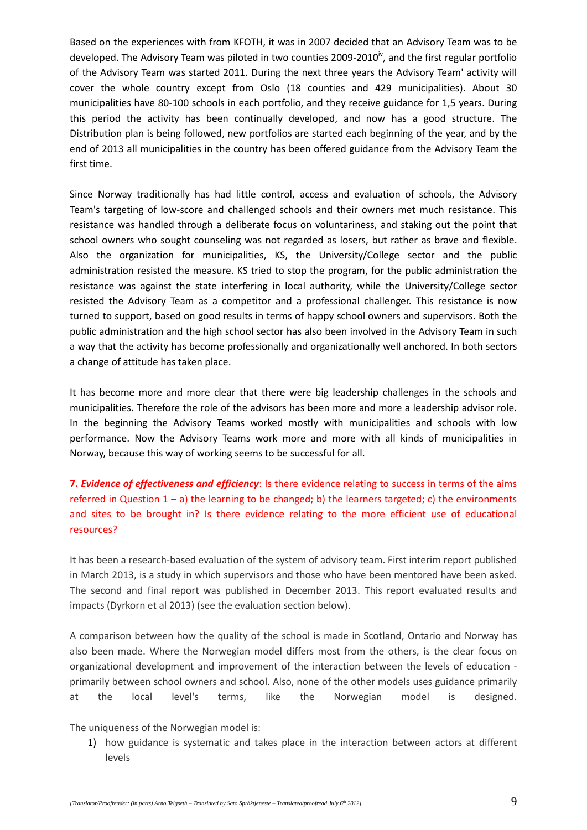Based on the experiences with from KFOTH, it was in 2007 decided that an Advisory Team was to be developed. The Advisory Team was piloted in two counties 2009-2010 $^{\circ}$ , and the first regular portfolio of the Advisory Team was started 2011. During the next three years the Advisory Team' activity will cover the whole country except from Oslo (18 counties and 429 municipalities). About 30 municipalities have 80-100 schools in each portfolio, and they receive guidance for 1,5 years. During this period the activity has been continually developed, and now has a good structure. The Distribution plan is being followed, new portfolios are started each beginning of the year, and by the end of 2013 all municipalities in the country has been offered guidance from the Advisory Team the first time.

Since Norway traditionally has had little control, access and evaluation of schools, the Advisory Team's targeting of low-score and challenged schools and their owners met much resistance. This resistance was handled through a deliberate focus on voluntariness, and staking out the point that school owners who sought counseling was not regarded as losers, but rather as brave and flexible. Also the organization for municipalities, KS, the University/College sector and the public administration resisted the measure. KS tried to stop the program, for the public administration the resistance was against the state interfering in local authority, while the University/College sector resisted the Advisory Team as a competitor and a professional challenger. This resistance is now turned to support, based on good results in terms of happy school owners and supervisors. Both the public administration and the high school sector has also been involved in the Advisory Team in such a way that the activity has become professionally and organizationally well anchored. In both sectors a change of attitude has taken place.

It has become more and more clear that there were big leadership challenges in the schools and municipalities. Therefore the role of the advisors has been more and more a leadership advisor role. In the beginning the Advisory Teams worked mostly with municipalities and schools with low performance. Now the Advisory Teams work more and more with all kinds of municipalities in Norway, because this way of working seems to be successful for all.

**7.** *Evidence of effectiveness and efficiency*: Is there evidence relating to success in terms of the aims referred in Question  $1 - a$ ) the learning to be changed; b) the learners targeted; c) the environments and sites to be brought in? Is there evidence relating to the more efficient use of educational resources?

It has been a research-based evaluation of the system of advisory team. First interim report published in March 2013, is a study in which supervisors and those who have been mentored have been asked. The second and final report was published in December 2013. This report evaluated results and impacts (Dyrkorn et al 2013) (see the evaluation section below).

A comparison between how the quality of the school is made in Scotland, Ontario and Norway has also been made. Where the Norwegian model differs most from the others, is the clear focus on organizational development and improvement of the interaction between the levels of education primarily between school owners and school. Also, none of the other models uses guidance primarily at the local level's terms, like the Norwegian model is designed.

The uniqueness of the Norwegian model is:

1) how guidance is systematic and takes place in the interaction between actors at different levels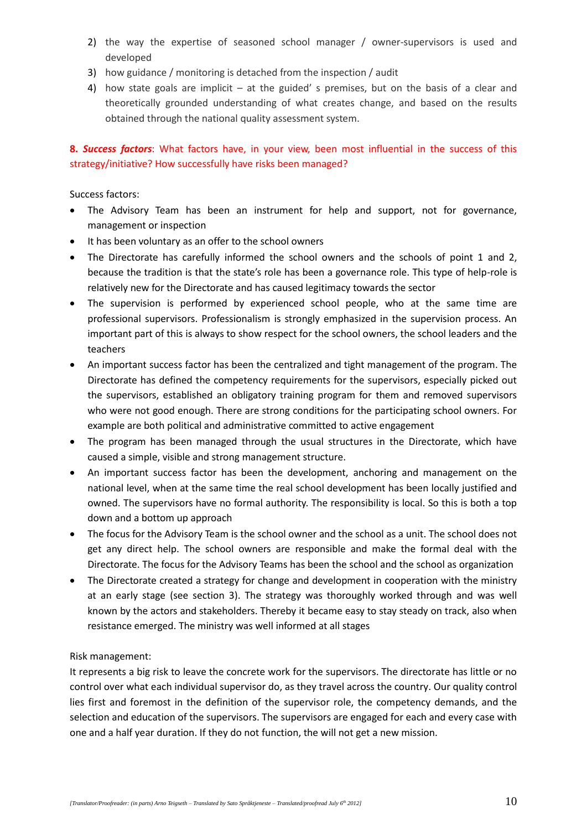- 2) the way the expertise of seasoned school manager / owner-supervisors is used and developed
- 3) how guidance / monitoring is detached from the inspection / audit
- 4) how state goals are implicit at the guided' s premises, but on the basis of a clear and theoretically grounded understanding of what creates change, and based on the results obtained through the national quality assessment system.

## **8.** *Success factors*: What factors have, in your view, been most influential in the success of this strategy/initiative? How successfully have risks been managed?

Success factors:

- The Advisory Team has been an instrument for help and support, not for governance, management or inspection
- It has been voluntary as an offer to the school owners
- The Directorate has carefully informed the school owners and the schools of point 1 and 2, because the tradition is that the state's role has been a governance role. This type of help-role is relatively new for the Directorate and has caused legitimacy towards the sector
- The supervision is performed by experienced school people, who at the same time are professional supervisors. Professionalism is strongly emphasized in the supervision process. An important part of this is always to show respect for the school owners, the school leaders and the teachers
- An important success factor has been the centralized and tight management of the program. The Directorate has defined the competency requirements for the supervisors, especially picked out the supervisors, established an obligatory training program for them and removed supervisors who were not good enough. There are strong conditions for the participating school owners. For example are both political and administrative committed to active engagement
- The program has been managed through the usual structures in the Directorate, which have caused a simple, visible and strong management structure.
- An important success factor has been the development, anchoring and management on the national level, when at the same time the real school development has been locally justified and owned. The supervisors have no formal authority. The responsibility is local. So this is both a top down and a bottom up approach
- The focus for the Advisory Team is the school owner and the school as a unit. The school does not get any direct help. The school owners are responsible and make the formal deal with the Directorate. The focus for the Advisory Teams has been the school and the school as organization
- The Directorate created a strategy for change and development in cooperation with the ministry at an early stage (see section 3). The strategy was thoroughly worked through and was well known by the actors and stakeholders. Thereby it became easy to stay steady on track, also when resistance emerged. The ministry was well informed at all stages

#### Risk management:

It represents a big risk to leave the concrete work for the supervisors. The directorate has little or no control over what each individual supervisor do, as they travel across the country. Our quality control lies first and foremost in the definition of the supervisor role, the competency demands, and the selection and education of the supervisors. The supervisors are engaged for each and every case with one and a half year duration. If they do not function, the will not get a new mission.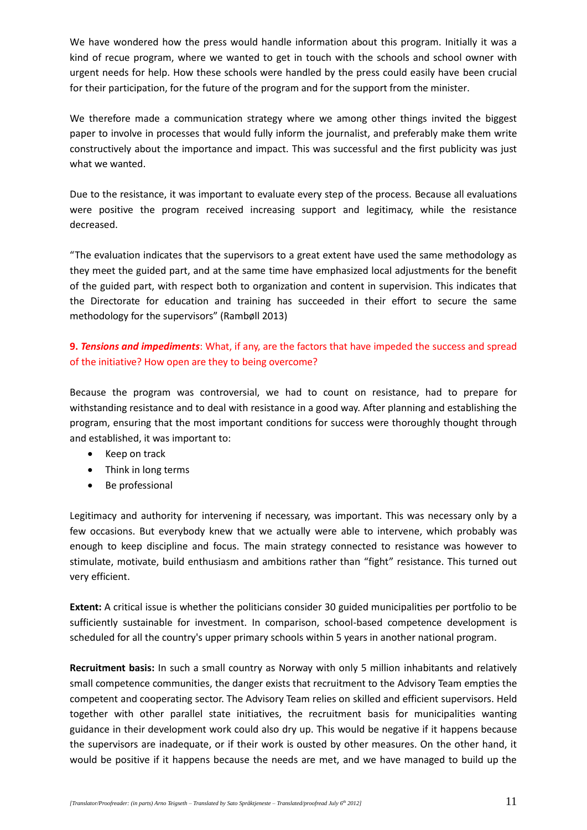We have wondered how the press would handle information about this program. Initially it was a kind of recue program, where we wanted to get in touch with the schools and school owner with urgent needs for help. How these schools were handled by the press could easily have been crucial for their participation, for the future of the program and for the support from the minister.

We therefore made a communication strategy where we among other things invited the biggest paper to involve in processes that would fully inform the journalist, and preferably make them write constructively about the importance and impact. This was successful and the first publicity was just what we wanted.

Due to the resistance, it was important to evaluate every step of the process. Because all evaluations were positive the program received increasing support and legitimacy, while the resistance decreased.

"The evaluation indicates that the supervisors to a great extent have used the same methodology as they meet the guided part, and at the same time have emphasized local adjustments for the benefit of the guided part, with respect both to organization and content in supervision. This indicates that the Directorate for education and training has succeeded in their effort to secure the same methodology for the supervisors" (Rambøll 2013)

# **9.** *Tensions and impediments*: What, if any, are the factors that have impeded the success and spread of the initiative? How open are they to being overcome?

Because the program was controversial, we had to count on resistance, had to prepare for withstanding resistance and to deal with resistance in a good way. After planning and establishing the program, ensuring that the most important conditions for success were thoroughly thought through and established, it was important to:

- Keep on track
- Think in long terms
- Be professional

Legitimacy and authority for intervening if necessary, was important. This was necessary only by a few occasions. But everybody knew that we actually were able to intervene, which probably was enough to keep discipline and focus. The main strategy connected to resistance was however to stimulate, motivate, build enthusiasm and ambitions rather than "fight" resistance. This turned out very efficient.

**Extent:** A critical issue is whether the politicians consider 30 guided municipalities per portfolio to be sufficiently sustainable for investment. In comparison, school-based competence development is scheduled for all the country's upper primary schools within 5 years in another national program.

**Recruitment basis:** In such a small country as Norway with only 5 million inhabitants and relatively small competence communities, the danger exists that recruitment to the Advisory Team empties the competent and cooperating sector. The Advisory Team relies on skilled and efficient supervisors. Held together with other parallel state initiatives, the recruitment basis for municipalities wanting guidance in their development work could also dry up. This would be negative if it happens because the supervisors are inadequate, or if their work is ousted by other measures. On the other hand, it would be positive if it happens because the needs are met, and we have managed to build up the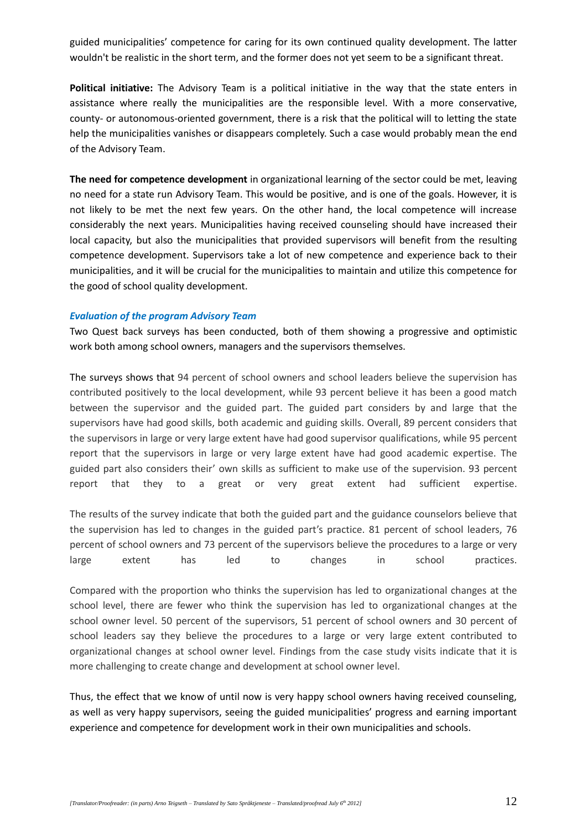guided municipalities' competence for caring for its own continued quality development. The latter wouldn't be realistic in the short term, and the former does not yet seem to be a significant threat.

**Political initiative:** The Advisory Team is a political initiative in the way that the state enters in assistance where really the municipalities are the responsible level. With a more conservative, county- or autonomous-oriented government, there is a risk that the political will to letting the state help the municipalities vanishes or disappears completely. Such a case would probably mean the end of the Advisory Team.

**The need for competence development** in organizational learning of the sector could be met, leaving no need for a state run Advisory Team. This would be positive, and is one of the goals. However, it is not likely to be met the next few years. On the other hand, the local competence will increase considerably the next years. Municipalities having received counseling should have increased their local capacity, but also the municipalities that provided supervisors will benefit from the resulting competence development. Supervisors take a lot of new competence and experience back to their municipalities, and it will be crucial for the municipalities to maintain and utilize this competence for the good of school quality development.

#### *Evaluation of the program Advisory Team*

Two Quest back surveys has been conducted, both of them showing a progressive and optimistic work both among school owners, managers and the supervisors themselves.

The surveys shows that 94 percent of school owners and school leaders believe the supervision has contributed positively to the local development, while 93 percent believe it has been a good match between the supervisor and the guided part. The guided part considers by and large that the supervisors have had good skills, both academic and guiding skills. Overall, 89 percent considers that the supervisors in large or very large extent have had good supervisor qualifications, while 95 percent report that the supervisors in large or very large extent have had good academic expertise. The guided part also considers their' own skills as sufficient to make use of the supervision. 93 percent report that they to a great or very great extent had sufficient expertise.

The results of the survey indicate that both the guided part and the guidance counselors believe that the supervision has led to changes in the guided part's practice. 81 percent of school leaders, 76 percent of school owners and 73 percent of the supervisors believe the procedures to a large or very large extent has led to changes in school practices.

Compared with the proportion who thinks the supervision has led to organizational changes at the school level, there are fewer who think the supervision has led to organizational changes at the school owner level. 50 percent of the supervisors, 51 percent of school owners and 30 percent of school leaders say they believe the procedures to a large or very large extent contributed to organizational changes at school owner level. Findings from the case study visits indicate that it is more challenging to create change and development at school owner level.

Thus, the effect that we know of until now is very happy school owners having received counseling, as well as very happy supervisors, seeing the guided municipalities' progress and earning important experience and competence for development work in their own municipalities and schools.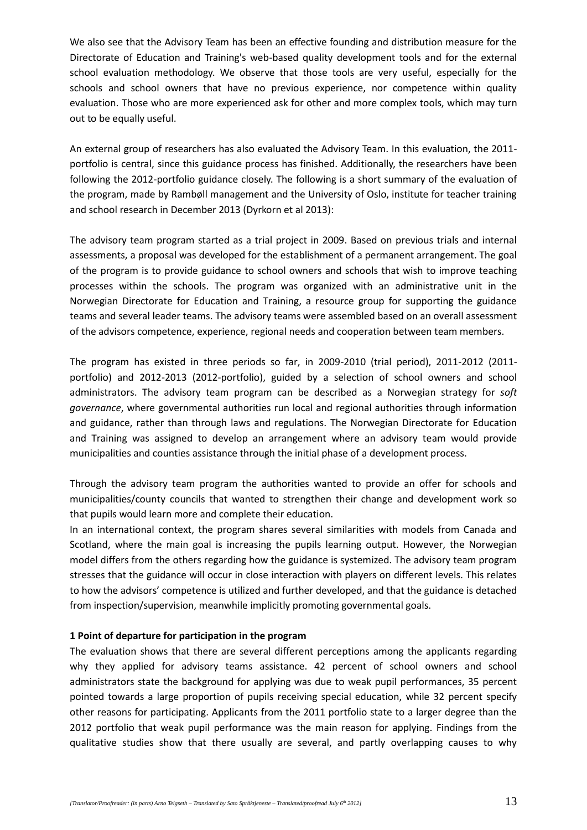We also see that the Advisory Team has been an effective founding and distribution measure for the Directorate of Education and Training's web-based quality development tools and for the external school evaluation methodology. We observe that those tools are very useful, especially for the schools and school owners that have no previous experience, nor competence within quality evaluation. Those who are more experienced ask for other and more complex tools, which may turn out to be equally useful.

An external group of researchers has also evaluated the Advisory Team. In this evaluation, the 2011 portfolio is central, since this guidance process has finished. Additionally, the researchers have been following the 2012-portfolio guidance closely. The following is a short summary of the evaluation of the program, made by Rambøll management and the University of Oslo, institute for teacher training and school research in December 2013 (Dyrkorn et al 2013):

The advisory team program started as a trial project in 2009. Based on previous trials and internal assessments, a proposal was developed for the establishment of a permanent arrangement. The goal of the program is to provide guidance to school owners and schools that wish to improve teaching processes within the schools. The program was organized with an administrative unit in the Norwegian Directorate for Education and Training, a resource group for supporting the guidance teams and several leader teams. The advisory teams were assembled based on an overall assessment of the advisors competence, experience, regional needs and cooperation between team members.

The program has existed in three periods so far, in 2009-2010 (trial period), 2011-2012 (2011 portfolio) and 2012-2013 (2012-portfolio), guided by a selection of school owners and school administrators. The advisory team program can be described as a Norwegian strategy for *soft governance*, where governmental authorities run local and regional authorities through information and guidance, rather than through laws and regulations. The Norwegian Directorate for Education and Training was assigned to develop an arrangement where an advisory team would provide municipalities and counties assistance through the initial phase of a development process.

Through the advisory team program the authorities wanted to provide an offer for schools and municipalities/county councils that wanted to strengthen their change and development work so that pupils would learn more and complete their education.

In an international context, the program shares several similarities with models from Canada and Scotland, where the main goal is increasing the pupils learning output. However, the Norwegian model differs from the others regarding how the guidance is systemized. The advisory team program stresses that the guidance will occur in close interaction with players on different levels. This relates to how the advisors' competence is utilized and further developed, and that the guidance is detached from inspection/supervision, meanwhile implicitly promoting governmental goals.

#### **1 Point of departure for participation in the program**

The evaluation shows that there are several different perceptions among the applicants regarding why they applied for advisory teams assistance. 42 percent of school owners and school administrators state the background for applying was due to weak pupil performances, 35 percent pointed towards a large proportion of pupils receiving special education, while 32 percent specify other reasons for participating. Applicants from the 2011 portfolio state to a larger degree than the 2012 portfolio that weak pupil performance was the main reason for applying. Findings from the qualitative studies show that there usually are several, and partly overlapping causes to why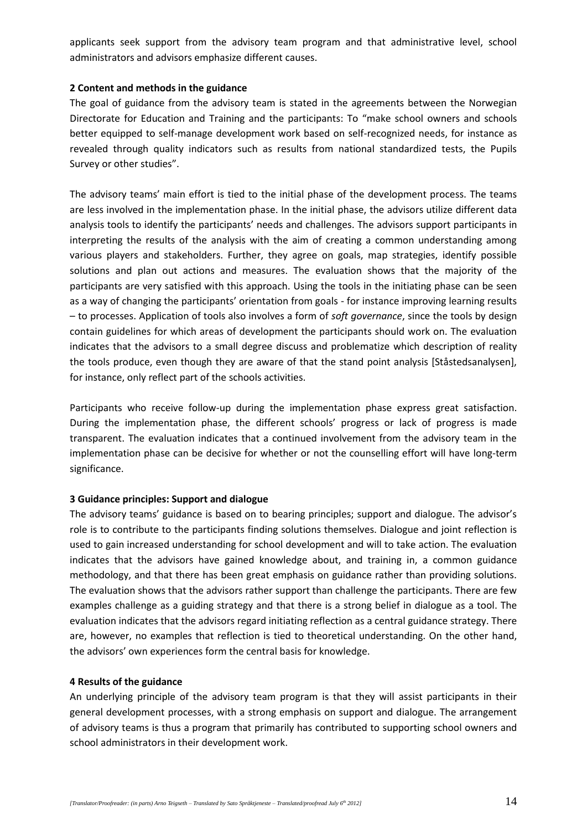applicants seek support from the advisory team program and that administrative level, school administrators and advisors emphasize different causes.

#### **2 Content and methods in the guidance**

The goal of guidance from the advisory team is stated in the agreements between the Norwegian Directorate for Education and Training and the participants: To "make school owners and schools better equipped to self-manage development work based on self-recognized needs, for instance as revealed through quality indicators such as results from national standardized tests, the Pupils Survey or other studies".

The advisory teams' main effort is tied to the initial phase of the development process. The teams are less involved in the implementation phase. In the initial phase, the advisors utilize different data analysis tools to identify the participants' needs and challenges. The advisors support participants in interpreting the results of the analysis with the aim of creating a common understanding among various players and stakeholders. Further, they agree on goals, map strategies, identify possible solutions and plan out actions and measures. The evaluation shows that the majority of the participants are very satisfied with this approach. Using the tools in the initiating phase can be seen as a way of changing the participants' orientation from goals - for instance improving learning results – to processes. Application of tools also involves a form of *soft governance*, since the tools by design contain guidelines for which areas of development the participants should work on. The evaluation indicates that the advisors to a small degree discuss and problematize which description of reality the tools produce, even though they are aware of that the stand point analysis [Ståstedsanalysen], for instance, only reflect part of the schools activities.

Participants who receive follow-up during the implementation phase express great satisfaction. During the implementation phase, the different schools' progress or lack of progress is made transparent. The evaluation indicates that a continued involvement from the advisory team in the implementation phase can be decisive for whether or not the counselling effort will have long-term significance.

#### **3 Guidance principles: Support and dialogue**

The advisory teams' guidance is based on to bearing principles; support and dialogue. The advisor's role is to contribute to the participants finding solutions themselves. Dialogue and joint reflection is used to gain increased understanding for school development and will to take action. The evaluation indicates that the advisors have gained knowledge about, and training in, a common guidance methodology, and that there has been great emphasis on guidance rather than providing solutions. The evaluation shows that the advisors rather support than challenge the participants. There are few examples challenge as a guiding strategy and that there is a strong belief in dialogue as a tool. The evaluation indicates that the advisors regard initiating reflection as a central guidance strategy. There are, however, no examples that reflection is tied to theoretical understanding. On the other hand, the advisors' own experiences form the central basis for knowledge.

#### **4 Results of the guidance**

An underlying principle of the advisory team program is that they will assist participants in their general development processes, with a strong emphasis on support and dialogue. The arrangement of advisory teams is thus a program that primarily has contributed to supporting school owners and school administrators in their development work.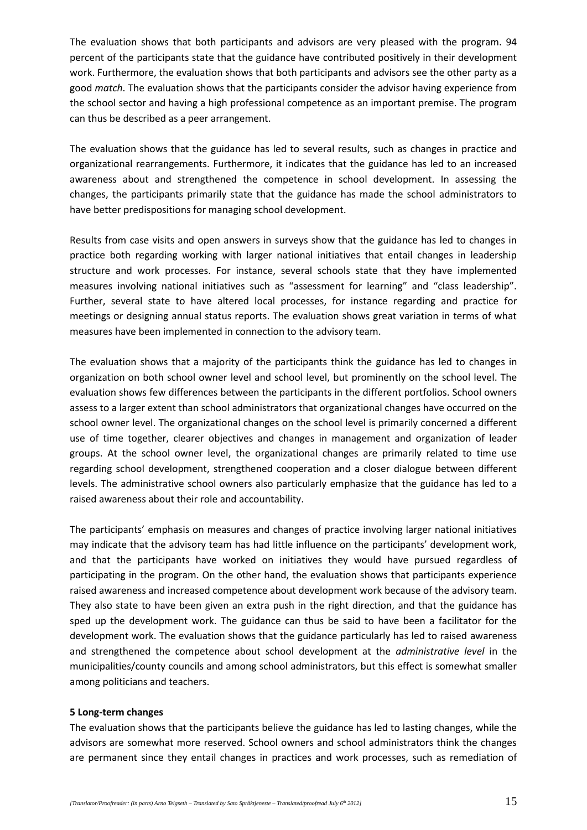The evaluation shows that both participants and advisors are very pleased with the program. 94 percent of the participants state that the guidance have contributed positively in their development work. Furthermore, the evaluation shows that both participants and advisors see the other party as a good *match*. The evaluation shows that the participants consider the advisor having experience from the school sector and having a high professional competence as an important premise. The program can thus be described as a peer arrangement.

The evaluation shows that the guidance has led to several results, such as changes in practice and organizational rearrangements. Furthermore, it indicates that the guidance has led to an increased awareness about and strengthened the competence in school development. In assessing the changes, the participants primarily state that the guidance has made the school administrators to have better predispositions for managing school development.

Results from case visits and open answers in surveys show that the guidance has led to changes in practice both regarding working with larger national initiatives that entail changes in leadership structure and work processes. For instance, several schools state that they have implemented measures involving national initiatives such as "assessment for learning" and "class leadership". Further, several state to have altered local processes, for instance regarding and practice for meetings or designing annual status reports. The evaluation shows great variation in terms of what measures have been implemented in connection to the advisory team.

The evaluation shows that a majority of the participants think the guidance has led to changes in organization on both school owner level and school level, but prominently on the school level. The evaluation shows few differences between the participants in the different portfolios. School owners assess to a larger extent than school administrators that organizational changes have occurred on the school owner level. The organizational changes on the school level is primarily concerned a different use of time together, clearer objectives and changes in management and organization of leader groups. At the school owner level, the organizational changes are primarily related to time use regarding school development, strengthened cooperation and a closer dialogue between different levels. The administrative school owners also particularly emphasize that the guidance has led to a raised awareness about their role and accountability.

The participants' emphasis on measures and changes of practice involving larger national initiatives may indicate that the advisory team has had little influence on the participants' development work, and that the participants have worked on initiatives they would have pursued regardless of participating in the program. On the other hand, the evaluation shows that participants experience raised awareness and increased competence about development work because of the advisory team. They also state to have been given an extra push in the right direction, and that the guidance has sped up the development work. The guidance can thus be said to have been a facilitator for the development work. The evaluation shows that the guidance particularly has led to raised awareness and strengthened the competence about school development at the *administrative level* in the municipalities/county councils and among school administrators, but this effect is somewhat smaller among politicians and teachers.

#### **5 Long-term changes**

The evaluation shows that the participants believe the guidance has led to lasting changes, while the advisors are somewhat more reserved. School owners and school administrators think the changes are permanent since they entail changes in practices and work processes, such as remediation of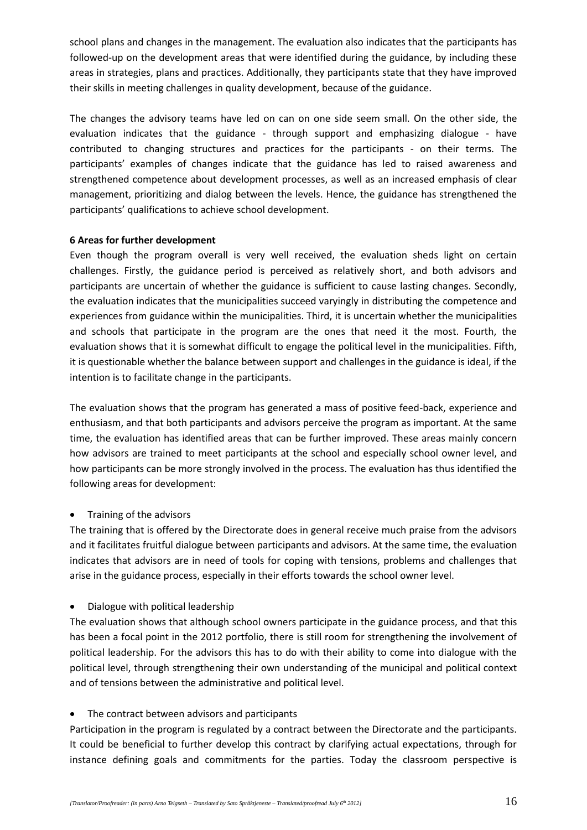school plans and changes in the management. The evaluation also indicates that the participants has followed-up on the development areas that were identified during the guidance, by including these areas in strategies, plans and practices. Additionally, they participants state that they have improved their skills in meeting challenges in quality development, because of the guidance.

The changes the advisory teams have led on can on one side seem small. On the other side, the evaluation indicates that the guidance - through support and emphasizing dialogue - have contributed to changing structures and practices for the participants - on their terms. The participants' examples of changes indicate that the guidance has led to raised awareness and strengthened competence about development processes, as well as an increased emphasis of clear management, prioritizing and dialog between the levels. Hence, the guidance has strengthened the participants' qualifications to achieve school development.

#### **6 Areas for further development**

Even though the program overall is very well received, the evaluation sheds light on certain challenges. Firstly, the guidance period is perceived as relatively short, and both advisors and participants are uncertain of whether the guidance is sufficient to cause lasting changes. Secondly, the evaluation indicates that the municipalities succeed varyingly in distributing the competence and experiences from guidance within the municipalities. Third, it is uncertain whether the municipalities and schools that participate in the program are the ones that need it the most. Fourth, the evaluation shows that it is somewhat difficult to engage the political level in the municipalities. Fifth, it is questionable whether the balance between support and challenges in the guidance is ideal, if the intention is to facilitate change in the participants.

The evaluation shows that the program has generated a mass of positive feed-back, experience and enthusiasm, and that both participants and advisors perceive the program as important. At the same time, the evaluation has identified areas that can be further improved. These areas mainly concern how advisors are trained to meet participants at the school and especially school owner level, and how participants can be more strongly involved in the process. The evaluation has thus identified the following areas for development:

• Training of the advisors

The training that is offered by the Directorate does in general receive much praise from the advisors and it facilitates fruitful dialogue between participants and advisors. At the same time, the evaluation indicates that advisors are in need of tools for coping with tensions, problems and challenges that arise in the guidance process, especially in their efforts towards the school owner level.

Dialogue with political leadership

The evaluation shows that although school owners participate in the guidance process, and that this has been a focal point in the 2012 portfolio, there is still room for strengthening the involvement of political leadership. For the advisors this has to do with their ability to come into dialogue with the political level, through strengthening their own understanding of the municipal and political context and of tensions between the administrative and political level.

• The contract between advisors and participants

Participation in the program is regulated by a contract between the Directorate and the participants. It could be beneficial to further develop this contract by clarifying actual expectations, through for instance defining goals and commitments for the parties. Today the classroom perspective is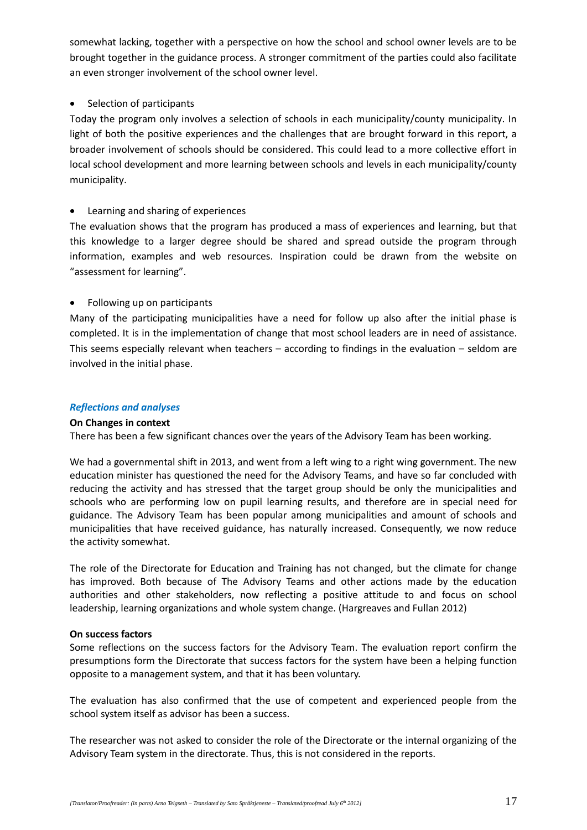somewhat lacking, together with a perspective on how the school and school owner levels are to be brought together in the guidance process. A stronger commitment of the parties could also facilitate an even stronger involvement of the school owner level.

#### Selection of participants

Today the program only involves a selection of schools in each municipality/county municipality. In light of both the positive experiences and the challenges that are brought forward in this report, a broader involvement of schools should be considered. This could lead to a more collective effort in local school development and more learning between schools and levels in each municipality/county municipality.

#### Learning and sharing of experiences

The evaluation shows that the program has produced a mass of experiences and learning, but that this knowledge to a larger degree should be shared and spread outside the program through information, examples and web resources. Inspiration could be drawn from the website on "assessment for learning".

#### • Following up on participants

Many of the participating municipalities have a need for follow up also after the initial phase is completed. It is in the implementation of change that most school leaders are in need of assistance. This seems especially relevant when teachers – according to findings in the evaluation – seldom are involved in the initial phase.

#### *Reflections and analyses*

#### **On Changes in context**

There has been a few significant chances over the years of the Advisory Team has been working.

We had a governmental shift in 2013, and went from a left wing to a right wing government. The new education minister has questioned the need for the Advisory Teams, and have so far concluded with reducing the activity and has stressed that the target group should be only the municipalities and schools who are performing low on pupil learning results, and therefore are in special need for guidance. The Advisory Team has been popular among municipalities and amount of schools and municipalities that have received guidance, has naturally increased. Consequently, we now reduce the activity somewhat.

The role of the Directorate for Education and Training has not changed, but the climate for change has improved. Both because of The Advisory Teams and other actions made by the education authorities and other stakeholders, now reflecting a positive attitude to and focus on school leadership, learning organizations and whole system change. (Hargreaves and Fullan 2012)

#### **On success factors**

Some reflections on the success factors for the Advisory Team. The evaluation report confirm the presumptions form the Directorate that success factors for the system have been a helping function opposite to a management system, and that it has been voluntary.

The evaluation has also confirmed that the use of competent and experienced people from the school system itself as advisor has been a success.

The researcher was not asked to consider the role of the Directorate or the internal organizing of the Advisory Team system in the directorate. Thus, this is not considered in the reports.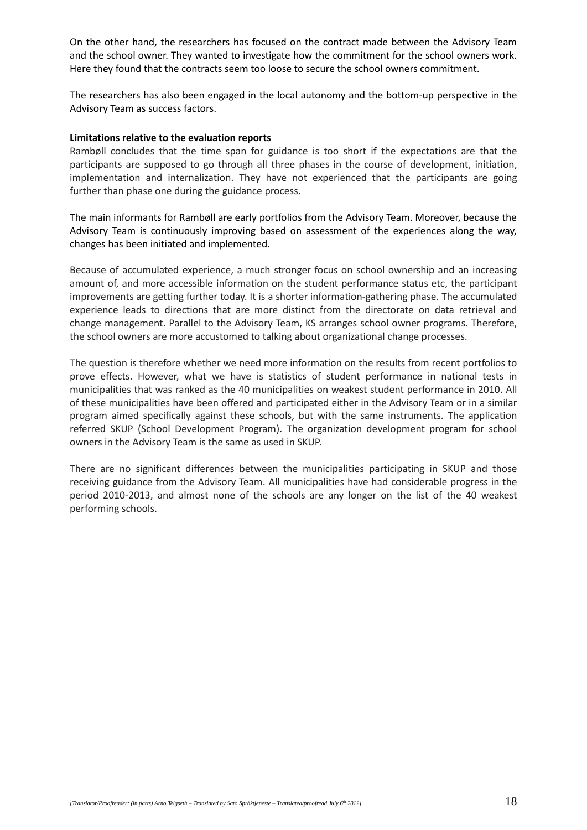On the other hand, the researchers has focused on the contract made between the Advisory Team and the school owner. They wanted to investigate how the commitment for the school owners work. Here they found that the contracts seem too loose to secure the school owners commitment.

The researchers has also been engaged in the local autonomy and the bottom-up perspective in the Advisory Team as success factors.

#### **Limitations relative to the evaluation reports**

Rambøll concludes that the time span for guidance is too short if the expectations are that the participants are supposed to go through all three phases in the course of development, initiation, implementation and internalization. They have not experienced that the participants are going further than phase one during the guidance process.

The main informants for Rambøll are early portfolios from the Advisory Team. Moreover, because the Advisory Team is continuously improving based on assessment of the experiences along the way, changes has been initiated and implemented.

Because of accumulated experience, a much stronger focus on school ownership and an increasing amount of, and more accessible information on the student performance status etc, the participant improvements are getting further today. It is a shorter information-gathering phase. The accumulated experience leads to directions that are more distinct from the directorate on data retrieval and change management. Parallel to the Advisory Team, KS arranges school owner programs. Therefore, the school owners are more accustomed to talking about organizational change processes.

The question is therefore whether we need more information on the results from recent portfolios to prove effects. However, what we have is statistics of student performance in national tests in municipalities that was ranked as the 40 municipalities on weakest student performance in 2010. All of these municipalities have been offered and participated either in the Advisory Team or in a similar program aimed specifically against these schools, but with the same instruments. The application referred SKUP (School Development Program). The organization development program for school owners in the Advisory Team is the same as used in SKUP.

There are no significant differences between the municipalities participating in SKUP and those receiving guidance from the Advisory Team. All municipalities have had considerable progress in the period 2010-2013, and almost none of the schools are any longer on the list of the 40 weakest performing schools.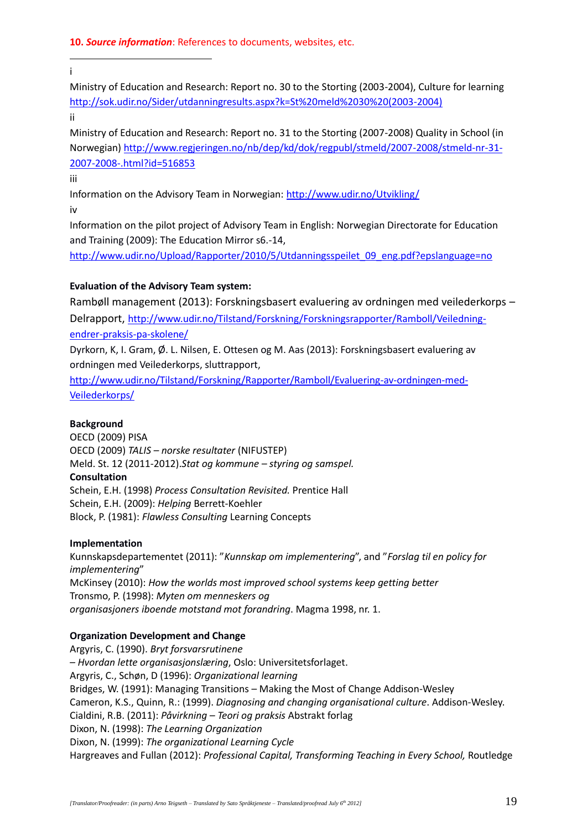1 i

Ministry of Education and Research: Report no. 30 to the Storting (2003-2004), Culture for learning [http://sok.udir.no/Sider/utdanningresults.aspx?k=St%20meld%2030%20\(2003-2004\)](http://sok.udir.no/Sider/utdanningresults.aspx?k=St%20meld%2030%20(2003-2004)) 

ii

Ministry of Education and Research: Report no. 31 to the Storting (2007-2008) Quality in School (in Norwegian) [http://www.regjeringen.no/nb/dep/kd/dok/regpubl/stmeld/2007-2008/stmeld-nr-31-](http://www.regjeringen.no/nb/dep/kd/dok/regpubl/stmeld/2007-2008/stmeld-nr-31-2007-2008-.html?id=516853) [2007-2008-.html?id=516853](http://www.regjeringen.no/nb/dep/kd/dok/regpubl/stmeld/2007-2008/stmeld-nr-31-2007-2008-.html?id=516853)

iii

Information on the Advisory Team in Norwegian:<http://www.udir.no/Utvikling/>

iv

Information on the pilot project of Advisory Team in English: Norwegian Directorate for Education and Training (2009): The Education Mirror s6.-14,

[http://www.udir.no/Upload/Rapporter/2010/5/Utdanningsspeilet\\_09\\_eng.pdf?epslanguage=no](http://www.udir.no/Upload/Rapporter/2010/5/Utdanningsspeilet_09_eng.pdf?epslanguage=no)

### **Evaluation of the Advisory Team system:**

Rambøll management (2013): Forskningsbasert evaluering av ordningen med veilederkorps – Delrapport, [http://www.udir.no/Tilstand/Forskning/Forskningsrapporter/Ramboll/Veiledning](http://www.udir.no/Tilstand/Forskning/Forskningsrapporter/Ramboll/Veiledning-endrer-praksis-pa-skolene/)[endrer-praksis-pa-skolene/](http://www.udir.no/Tilstand/Forskning/Forskningsrapporter/Ramboll/Veiledning-endrer-praksis-pa-skolene/)

Dyrkorn, K, I. Gram, Ø. L. Nilsen, E. Ottesen og M. Aas (2013): Forskningsbasert evaluering av ordningen med Veilederkorps, sluttrapport,

[http://www.udir.no/Tilstand/Forskning/Rapporter/Ramboll/Evaluering-av-ordningen-med-](http://www.udir.no/Tilstand/Forskning/Rapporter/Ramboll/Evaluering-av-ordningen-med-Veilederkorps/)[Veilederkorps/](http://www.udir.no/Tilstand/Forskning/Rapporter/Ramboll/Evaluering-av-ordningen-med-Veilederkorps/)

#### **Background**

OECD (2009) PISA OECD (2009) *TALIS – norske resultater* (NIFUSTEP) Meld. St. 12 (2011-2012).*Stat og kommune – styring og samspel.* **Consultation** Schein, E.H. (1998) *Process Consultation Revisited.* Prentice Hall Schein, E.H. (2009): *Helping* Berrett-Koehler Block, P. (1981): *Flawless Consulting* Learning Concepts

#### **Implementation**

Kunnskapsdepartementet (2011): "*Kunnskap om implementering*", and "*Forslag til en policy for implementering*" McKinsey (2010): *How the worlds most improved school systems keep getting better* Tronsmo, P. (1998): *Myten om menneskers og organisasjoners iboende motstand mot forandring*. Magma 1998, nr. 1.

### **Organization Development and Change**

Argyris, C. (1990). *Bryt forsvarsrutinene – Hvordan lette organisasjonslæring*, Oslo: Universitetsforlaget. Argyris, C., Schøn, D (1996): *Organizational learning*  Bridges, W. (1991): Managing Transitions – Making the Most of Change Addison-Wesley Cameron, K.S., Quinn, R.: (1999). *Diagnosing and changing organisational culture*. Addison-Wesley. Cialdini, R.B. (2011): *Påvirkning – Teori og praksis* Abstrakt forlag Dixon, N. (1998): *The Learning Organization* Dixon, N. (1999): *The organizational Learning Cycle* Hargreaves and Fullan (2012): *Professional Capital, Transforming Teaching in Every School,* Routledge